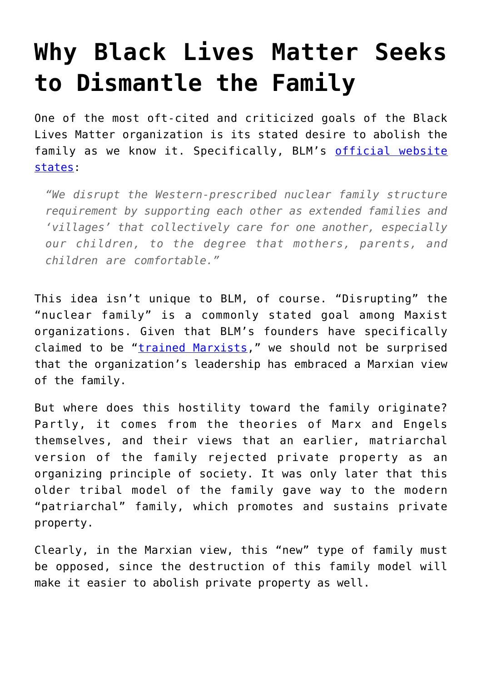## **[Why Black Lives Matter Seeks](https://intellectualtakeout.org/2020/07/why-black-lives-matter-seeks-to-dismantle-the-family/) [to Dismantle the Family](https://intellectualtakeout.org/2020/07/why-black-lives-matter-seeks-to-dismantle-the-family/)**

One of the most oft-cited and criticized goals of the Black Lives Matter organization is its stated desire to abolish the family as we know it. Specifically, BLM's [official website](https://blacklivesmatter.com/what-we-believe/?__cf_chl_jschl_tk__=dd1a8dcbf40cb3a70e58059470ea48b262b02daf-1594934458-0-AZyLtVV8o_qoTWTikwuwK2Nixm7E3MkSpqkLWQLg_1IkHa12G6vmhKWbUyEZ1Oq0kizUVd_1BM0OaYr1xaQPVOUdNwi26OnnynOFtc2nPvCSnxH05wa6srs-ANtyPMdpf5x_F4eX) [states](https://blacklivesmatter.com/what-we-believe/?__cf_chl_jschl_tk__=dd1a8dcbf40cb3a70e58059470ea48b262b02daf-1594934458-0-AZyLtVV8o_qoTWTikwuwK2Nixm7E3MkSpqkLWQLg_1IkHa12G6vmhKWbUyEZ1Oq0kizUVd_1BM0OaYr1xaQPVOUdNwi26OnnynOFtc2nPvCSnxH05wa6srs-ANtyPMdpf5x_F4eX):

*"We disrupt the Western-prescribed nuclear family structure requirement by supporting each other as extended families and 'villages' that collectively care for one another, especially our children, to the degree that mothers, parents, and children are comfortable."*

This idea isn't unique to BLM, of course. "Disrupting" the "nuclear family" is a commonly stated goal among Maxist organizations. Given that BLM's founders have specifically claimed to be "*trained Marxists*," we should not be surprised that the organization's leadership has embraced a Marxian view of the family.

But where does this hostility toward the family originate? Partly, it comes from the theories of Marx and Engels themselves, and their views that an earlier, matriarchal version of the family rejected private property as an organizing principle of society. It was only later that this older tribal model of the family gave way to the modern "patriarchal" family, which promotes and sustains private property.

Clearly, in the Marxian view, this "new" type of family must be opposed, since the destruction of this family model will make it easier to abolish private property as well.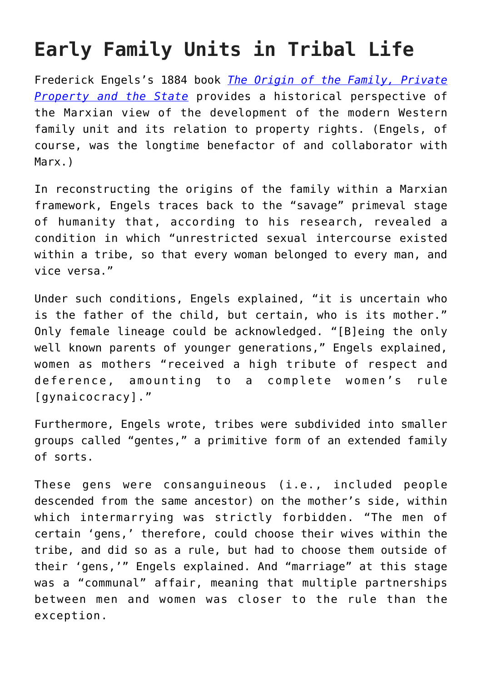## **Early Family Units in Tribal Life**

Frederick Engels's 1884 book *[The Origin of the Family, Private](https://www.amazon.com/gp/product/0141191112/ref=as_li_tl?ie=UTF8&camp=1789&creative=9325&creativeASIN=0141191112&linkCode=as2&tag=intelltakeo0d-20&linkId=8be92585865dcc283f9a47b6657610f2) [Property and the State](https://www.amazon.com/gp/product/0141191112/ref=as_li_tl?ie=UTF8&camp=1789&creative=9325&creativeASIN=0141191112&linkCode=as2&tag=intelltakeo0d-20&linkId=8be92585865dcc283f9a47b6657610f2)* provides a historical perspective of the Marxian view of the development of the modern Western family unit and its relation to property rights. (Engels, of course, was the longtime benefactor of and collaborator with Marx.)

In reconstructing the origins of the family within a Marxian framework, Engels traces back to the "savage" primeval stage of humanity that, according to his research, revealed a condition in which "unrestricted sexual intercourse existed within a tribe, so that every woman belonged to every man, and vice versa."

Under such conditions, Engels explained, "it is uncertain who is the father of the child, but certain, who is its mother." Only female lineage could be acknowledged. "[B]eing the only well known parents of younger generations," Engels explained, women as mothers "received a high tribute of respect and deference, amounting to a complete women's rule [gynaicocracy]."

Furthermore, Engels wrote, tribes were subdivided into smaller groups called "gentes," a primitive form of an extended family of sorts.

These gens were consanguineous (i.e., included people descended from the same ancestor) on the mother's side, within which intermarrying was strictly forbidden. "The men of certain 'gens,' therefore, could choose their wives within the tribe, and did so as a rule, but had to choose them outside of their 'gens,'" Engels explained. And "marriage" at this stage was a "communal" affair, meaning that multiple partnerships between men and women was closer to the rule than the exception.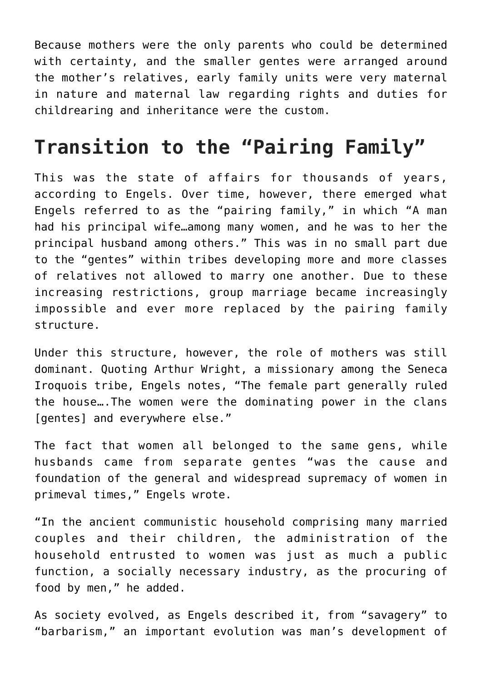Because mothers were the only parents who could be determined with certainty, and the smaller gentes were arranged around the mother's relatives, early family units were very maternal in nature and maternal law regarding rights and duties for childrearing and inheritance were the custom.

## **Transition to the "Pairing Family"**

This was the state of affairs for thousands of years, according to Engels. Over time, however, there emerged what Engels referred to as the "pairing family," in which "A man had his principal wife…among many women, and he was to her the principal husband among others." This was in no small part due to the "gentes" within tribes developing more and more classes of relatives not allowed to marry one another. Due to these increasing restrictions, group marriage became increasingly impossible and ever more replaced by the pairing family structure.

Under this structure, however, the role of mothers was still dominant. Quoting Arthur Wright, a missionary among the Seneca Iroquois tribe, Engels notes, "The female part generally ruled the house….The women were the dominating power in the clans [gentes] and everywhere else."

The fact that women all belonged to the same gens, while husbands came from separate gentes "was the cause and foundation of the general and widespread supremacy of women in primeval times," Engels wrote.

"In the ancient communistic household comprising many married couples and their children, the administration of the household entrusted to women was just as much a public function, a socially necessary industry, as the procuring of food by men," he added.

As society evolved, as Engels described it, from "savagery" to "barbarism," an important evolution was man's development of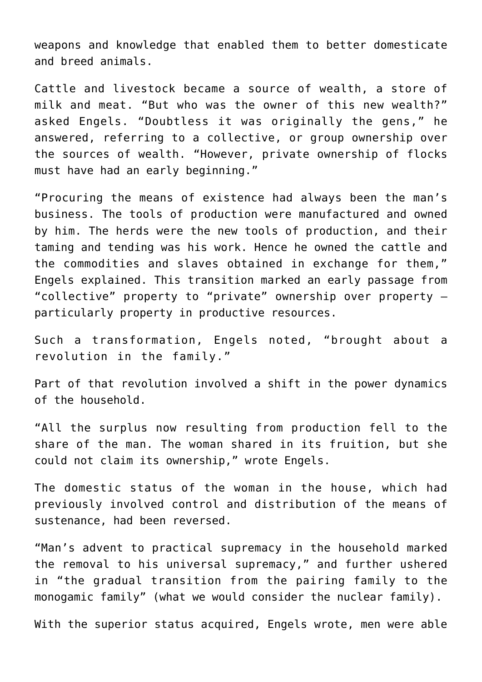weapons and knowledge that enabled them to better domesticate and breed animals.

Cattle and livestock became a source of wealth, a store of milk and meat. "But who was the owner of this new wealth?" asked Engels. "Doubtless it was originally the gens," he answered, referring to a collective, or group ownership over the sources of wealth. "However, private ownership of flocks must have had an early beginning."

"Procuring the means of existence had always been the man's business. The tools of production were manufactured and owned by him. The herds were the new tools of production, and their taming and tending was his work. Hence he owned the cattle and the commodities and slaves obtained in exchange for them," Engels explained. This transition marked an early passage from "collective" property to "private" ownership over property – particularly property in productive resources.

Such a transformation, Engels noted, "brought about a revolution in the family."

Part of that revolution involved a shift in the power dynamics of the household.

"All the surplus now resulting from production fell to the share of the man. The woman shared in its fruition, but she could not claim its ownership," wrote Engels.

The domestic status of the woman in the house, which had previously involved control and distribution of the means of sustenance, had been reversed.

"Man's advent to practical supremacy in the household marked the removal to his universal supremacy," and further ushered in "the gradual transition from the pairing family to the monogamic family" (what we would consider the nuclear family).

With the superior status acquired, Engels wrote, men were able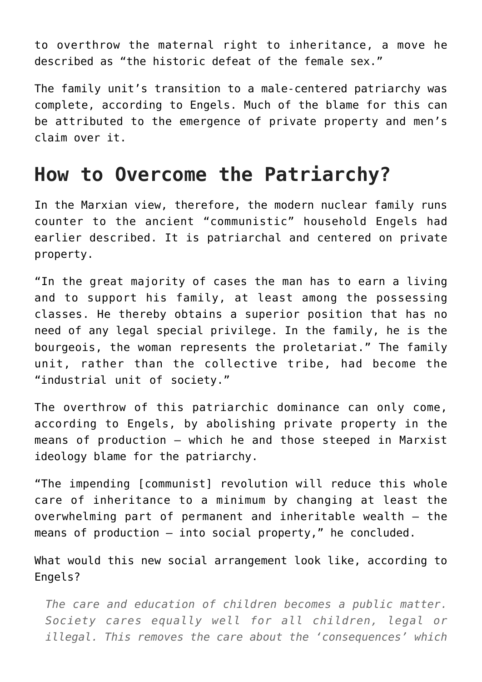to overthrow the maternal right to inheritance, a move he described as "the historic defeat of the female sex."

The family unit's transition to a male-centered patriarchy was complete, according to Engels. Much of the blame for this can be attributed to the emergence of private property and men's claim over it.

## **How to Overcome the Patriarchy?**

In the Marxian view, therefore, the modern nuclear family runs counter to the ancient "communistic" household Engels had earlier described. It is patriarchal and centered on private property.

"In the great majority of cases the man has to earn a living and to support his family, at least among the possessing classes. He thereby obtains a superior position that has no need of any legal special privilege. In the family, he is the bourgeois, the woman represents the proletariat." The family unit, rather than the collective tribe, had become the "industrial unit of society."

The overthrow of this patriarchic dominance can only come, according to Engels, by abolishing private property in the means of production – which he and those steeped in Marxist ideology blame for the patriarchy.

"The impending [communist] revolution will reduce this whole care of inheritance to a minimum by changing at least the overwhelming part of permanent and inheritable wealth – the means of production – into social property," he concluded.

What would this new social arrangement look like, according to Engels?

*The care and education of children becomes a public matter. Society cares equally well for all children, legal or illegal. This removes the care about the 'consequences' which*